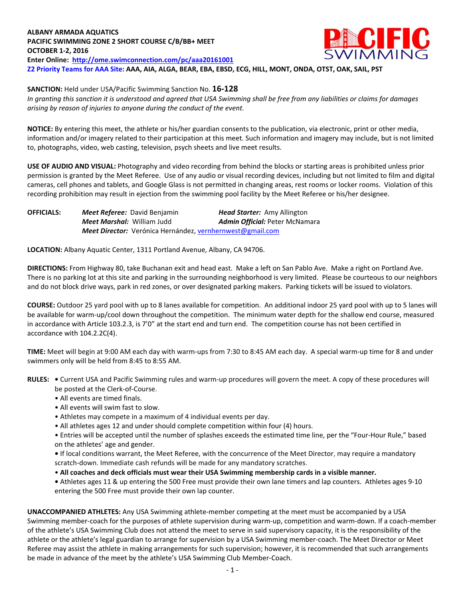## **ECIFIC ALBANY ARMADA AQUATICS PACIFIC SWIMMING ZONE 2 SHORT COURSE C/B/BB+ MEET OCTOBER 1-2, 2016 Enter Online: <http://ome.swimconnection.com/pc/aaa20161001> Z2 Priority Teams for AAA Site: AAA, AIA, ALGA, BEAR, EBA, EBSD, ECG, HILL, MONT, ONDA, OTST, OAK, SAIL, PST**

**SANCTION:** Held under USA/Pacific Swimming Sanction No. **16-128**

*In granting this sanction it is understood and agreed that USA Swimming shall be free from any liabilities or claims for damages arising by reason of injuries to anyone during the conduct of the event.*

**NOTICE:** By entering this meet, the athlete or his/her guardian consents to the publication, via electronic, print or other media, information and/or imagery related to their participation at this meet. Such information and imagery may include, but is not limited to, photographs, video, web casting, television, psych sheets and live meet results.

**USE OF AUDIO AND VISUAL:** Photography and video recording from behind the blocks or starting areas is prohibited unless prior permission is granted by the Meet Referee. Use of any audio or visual recording devices, including but not limited to film and digital cameras, cell phones and tablets, and Google Glass is not permitted in changing areas, rest rooms or locker rooms. Violation of this recording prohibition may result in ejection from the swimming pool facility by the Meet Referee or his/her designee.

| <b>OFFICIALS:</b> | Meet Referee: David Benjamin                              | <b>Head Starter:</b> Amy Allington    |
|-------------------|-----------------------------------------------------------|---------------------------------------|
|                   | <b>Meet Marshal: William Judd</b>                         | <b>Admin Official: Peter McNamara</b> |
|                   | Meet Director: Verónica Hernández, vernhernwest@gmail.com |                                       |

**LOCATION:** Albany Aquatic Center, 1311 Portland Avenue, Albany, CA 94706.

**DIRECTIONS:** From Highway 80, take Buchanan exit and head east. Make a left on San Pablo Ave. Make a right on Portland Ave. There is no parking lot at this site and parking in the surrounding neighborhood is very limited. Please be courteous to our neighbors and do not block drive ways, park in red zones, or over designated parking makers. Parking tickets will be issued to violators.

**COURSE:** Outdoor 25 yard pool with up to 8 lanes available for competition.An additional indoor 25 yard pool with up to 5 lanes will be available for warm-up/cool down throughout the competition. The minimum water depth for the shallow end course, measured in accordance with Article 103.2.3, is 7'0" at the start end and turn end. The competition course has not been certified in accordance with 104.2.2C(4).

**TIME:** Meet will begin at 9:00 AM each day with warm-ups from 7:30 to 8:45 AM each day. A special warm-up time for 8 and under swimmers only will be held from 8:45 to 8:55 AM.

- **RULES:** Current USA and Pacific Swimming rules and warm-up procedures will govern the meet. A copy of these procedures will be posted at the Clerk-of-Course.
	- All events are timed finals.
	- All events will swim fast to slow.
	- Athletes may compete in a maximum of 4 individual events per day.
	- All athletes ages 12 and under should complete competition within four (4) hours.

• Entries will be accepted until the number of splashes exceeds the estimated time line, per the "Four-Hour Rule," based on the athletes' age and gender.

**•** If local conditions warrant, the Meet Referee, with the concurrence of the Meet Director, may require a mandatory scratch-down. Immediate cash refunds will be made for any mandatory scratches.

- **All coaches and deck officials must wear their USA Swimming membership cards in a visible manner.**
- Athletes ages 11 & up entering the 500 Free must provide their own lane timers and lap counters. Athletes ages 9-10 entering the 500 Free must provide their own lap counter.

**UNACCOMPANIED ATHLETES:** Any USA Swimming athlete-member competing at the meet must be accompanied by a USA Swimming member-coach for the purposes of athlete supervision during warm-up, competition and warm-down. If a coach-member of the athlete's USA Swimming Club does not attend the meet to serve in said supervisory capacity, it is the responsibility of the athlete or the athlete's legal guardian to arrange for supervision by a USA Swimming member-coach. The Meet Director or Meet Referee may assist the athlete in making arrangements for such supervision; however, it is recommended that such arrangements be made in advance of the meet by the athlete's USA Swimming Club Member-Coach.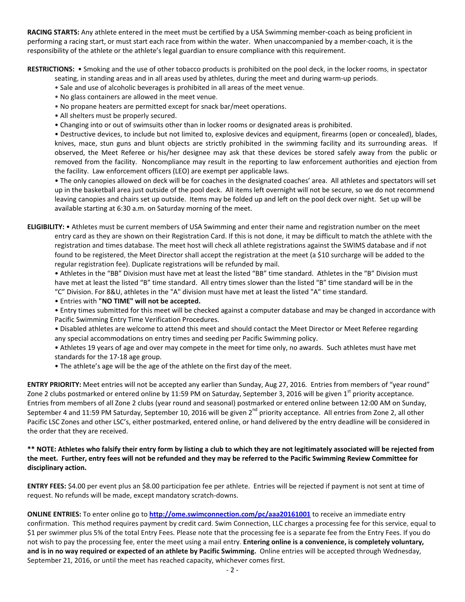**RACING STARTS:** Any athlete entered in the meet must be certified by a USA Swimming member-coach as being proficient in performing a racing start, or must start each race from within the water. When unaccompanied by a member-coach, it is the responsibility of the athlete or the athlete's legal guardian to ensure compliance with this requirement.

**RESTRICTIONS:** • Smoking and the use of other tobacco products is prohibited on the pool deck, in the locker rooms, in spectator

- seating, in standing areas and in all areas used by athletes, during the meet and during warm-up periods.
- Sale and use of alcoholic beverages is prohibited in all areas of the meet venue.
- No glass containers are allowed in the meet venue.
- No propane heaters are permitted except for snack bar/meet operations.
- All shelters must be properly secured.
- Changing into or out of swimsuits other than in locker rooms or designated areas is prohibited.

• Destructive devices, to include but not limited to, explosive devices and equipment, firearms (open or concealed), blades, knives, mace, stun guns and blunt objects are strictly prohibited in the swimming facility and its surrounding areas. If observed, the Meet Referee or his/her designee may ask that these devices be stored safely away from the public or removed from the facility. Noncompliance may result in the reporting to law enforcement authorities and ejection from the facility. Law enforcement officers (LEO) are exempt per applicable laws.

• The only canopies allowed on deck will be for coaches in the designated coaches' area. All athletes and spectators will set up in the basketball area just outside of the pool deck. All items left overnight will not be secure, so we do not recommend leaving canopies and chairs set up outside. Items may be folded up and left on the pool deck over night. Set up will be available starting at 6:30 a.m. on Saturday morning of the meet.

**ELIGIBILITY:** • Athletes must be current members of USA Swimming and enter their name and registration number on the meet entry card as they are shown on their Registration Card. If this is not done, it may be difficult to match the athlete with the registration and times database. The meet host will check all athlete registrations against the SWIMS database and if not found to be registered, the Meet Director shall accept the registration at the meet (a \$10 surcharge will be added to the regular registration fee). Duplicate registrations will be refunded by mail.

• Athletes in the "BB" Division must have met at least the listed "BB" time standard. Athletes in the "B" Division must have met at least the listed "B" time standard. All entry times slower than the listed "B" time standard will be in the "C" Division. For 8&U, athletes in the "A" division must have met at least the listed "A" time standard.

- Entries with **"NO TIME" will not be accepted.**
- Entry times submitted for this meet will be checked against a computer database and may be changed in accordance with Pacific Swimming Entry Time Verification Procedures.
- Disabled athletes are welcome to attend this meet and should contact the Meet Director or Meet Referee regarding any special accommodations on entry times and seeding per Pacific Swimming policy.
- Athletes 19 years of age and over may compete in the meet for time only, no awards. Such athletes must have met standards for the 17-18 age group.
- The athlete's age will be the age of the athlete on the first day of the meet.

**ENTRY PRIORITY:** Meet entries will not be accepted any earlier than Sunday, Aug 27, 2016*.* Entries from members of "year round" Zone 2 clubs postmarked or entered online by 11:59 PM on Saturday, September 3, 2016 will be given  $1^{st}$  priority acceptance. Entries from members of all Zone 2 clubs (year round and seasonal) postmarked or entered online between 12:00 AM on Sunday, September 4 and 11:59 PM Saturday, September 10, 2016 will be given  $2^{nd}$  priority acceptance. All entries from Zone 2, all other Pacific LSC Zones and other LSC's, either postmarked, entered online, or hand delivered by the entry deadline will be considered in the order that they are received.

## **\*\* NOTE: Athletes who falsify their entry form by listing a club to which they are not legitimately associated will be rejected from the meet. Further, entry fees will not be refunded and they may be referred to the Pacific Swimming Review Committee for disciplinary action.**

**ENTRY FEES:** \$4.00 per event plus an \$8.00 participation fee per athlete. Entries will be rejected if payment is not sent at time of request. No refunds will be made, except mandatory scratch-downs.

**ONLINE ENTRIES:** To enter online go to **[http://ome.swimconnection.com/pc/aaa20161001](http://ome.swimconnection.com/pc/20161001)** to receive an immediate entry confirmation. This method requires payment by credit card. Swim Connection, LLC charges a processing fee for this service, equal to \$1 per swimmer plus 5% of the total Entry Fees. Please note that the processing fee is a separate fee from the Entry Fees. If you do not wish to pay the processing fee, enter the meet using a mail entry. **Entering online is a convenience, is completely voluntary, and is in no way required or expected of an athlete by Pacific Swimming.** Online entries will be accepted through Wednesday, September 21, 2016, or until the meet has reached capacity, whichever comes first.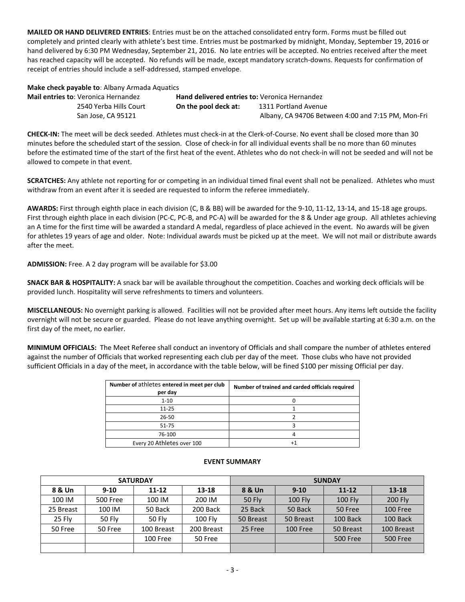**MAILED OR HAND DELIVERED ENTRIES**: Entries must be on the attached consolidated entry form. Forms must be filled out completely and printed clearly with athlete's best time. Entries must be postmarked by midnight, Monday, September 19, 2016 or hand delivered by 6:30 PM Wednesday, September 21, 2016. No late entries will be accepted. No entries received after the meet has reached capacity will be accepted. No refunds will be made, except mandatory scratch-downs. Requests for confirmation of receipt of entries should include a self-addressed, stamped envelope.

**Make check payable to**: Albany Armada Aquatics

| <b>Mail entries to: Veronica Hernandez</b> |                    | <b>Hand delivered entries to: Veronica Hernandez</b> |                                                    |  |  |  |
|--------------------------------------------|--------------------|------------------------------------------------------|----------------------------------------------------|--|--|--|
| 2540 Yerba Hills Court                     |                    | On the pool deck at:                                 | 1311 Portland Avenue                               |  |  |  |
|                                            | San Jose, CA 95121 |                                                      | Albany, CA 94706 Between 4:00 and 7:15 PM, Mon-Fri |  |  |  |

**CHECK-IN:** The meet will be deck seeded. Athletes must check-in at the Clerk-of-Course. No event shall be closed more than 30 minutes before the scheduled start of the session. Close of check-in for all individual events shall be no more than 60 minutes before the estimated time of the start of the first heat of the event. Athletes who do not check-in will not be seeded and will not be allowed to compete in that event.

**SCRATCHES:** Any athlete not reporting for or competing in an individual timed final event shall not be penalized. Athletes who must withdraw from an event after it is seeded are requested to inform the referee immediately.

**AWARDS:** First through eighth place in each division (C, B & BB) will be awarded for the 9-10, 11-12, 13-14, and 15-18 age groups. First through eighth place in each division (PC-C, PC-B, and PC-A) will be awarded for the 8 & Under age group. All athletes achieving an A time for the first time will be awarded a standard A medal, regardless of place achieved in the event. No awards will be given for athletes 19 years of age and older. Note: Individual awards must be picked up at the meet. We will not mail or distribute awards after the meet.

**ADMISSION:** Free. A 2 day program will be available for \$3.00

**SNACK BAR & HOSPITALITY:** A snack bar will be available throughout the competition. Coaches and working deck officials will be provided lunch. Hospitality will serve refreshments to timers and volunteers.

**MISCELLANEOUS:** No overnight parking is allowed. Facilities will not be provided after meet hours. Any items left outside the facility overnight will not be secure or guarded. Please do not leave anything overnight. Set up will be available starting at 6:30 a.m. on the first day of the meet, no earlier.

**MINIMUM OFFICIALS:** The Meet Referee shall conduct an inventory of Officials and shall compare the number of athletes entered against the number of Officials that worked representing each club per day of the meet. Those clubs who have not provided sufficient Officials in a day of the meet, in accordance with the table below, will be fined \$100 per missing Official per day.

| Number of athletes entered in meet per club<br>per day | Number of trained and carded officials required |
|--------------------------------------------------------|-------------------------------------------------|
| $1 - 10$                                               |                                                 |
| $11 - 25$                                              |                                                 |
| $26 - 50$                                              |                                                 |
| 51-75                                                  |                                                 |
| 76-100                                                 |                                                 |
| Every 20 Athletes over 100                             |                                                 |

|           |                 | <b>SATURDAY</b> |            | <b>SUNDAY</b> |                |                 |                 |  |
|-----------|-----------------|-----------------|------------|---------------|----------------|-----------------|-----------------|--|
| 8 & Un    | $9 - 10$        | $11 - 12$       | $13 - 18$  | 8 & Un        | $9 - 10$       | $11 - 12$       | $13 - 18$       |  |
| 100 IM    | <b>500 Free</b> | 100 IM          | 200 IM     | 50 Fly        | <b>100 Fly</b> | <b>100 Fly</b>  | <b>200 Fly</b>  |  |
| 25 Breast | 100 IM          | 50 Back         | 200 Back   | 25 Back       | 50 Back        | 50 Free         | 100 Free        |  |
| 25 Fly    | 50 Fly          | 50 Fly          | $100$ Fly  | 50 Breast     | 50 Breast      | 100 Back        | 100 Back        |  |
| 50 Free   | 50 Free         | 100 Breast      | 200 Breast | 25 Free       | 100 Free       | 50 Breast       | 100 Breast      |  |
|           |                 | 100 Free        | 50 Free    |               |                | <b>500 Free</b> | <b>500 Free</b> |  |
|           |                 |                 |            |               |                |                 |                 |  |

## **EVENT SUMMARY**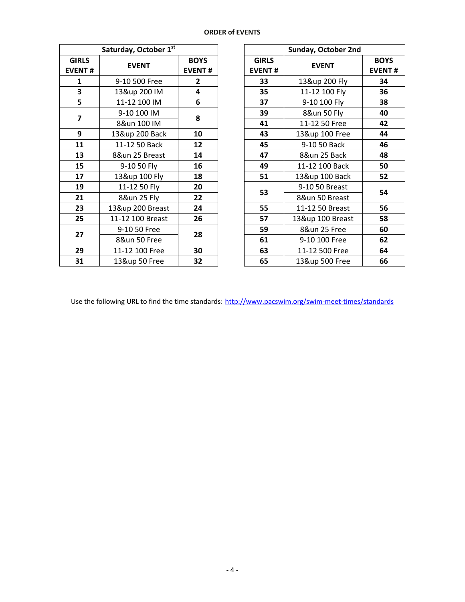| <b>ORDER of EVENTS</b> |  |  |  |  |
|------------------------|--|--|--|--|
|------------------------|--|--|--|--|

| Saturday, October 1st         |                   |                              |  |  |  |  |  |
|-------------------------------|-------------------|------------------------------|--|--|--|--|--|
| <b>GIRLS</b><br><b>EVENT#</b> | <b>EVENT</b>      | <b>BOYS</b><br><b>EVENT#</b> |  |  |  |  |  |
| 1                             | 9-10 500 Free     | $\mathbf{2}$                 |  |  |  |  |  |
| 3                             | 13&up 200 IM      | 4                            |  |  |  |  |  |
| 5                             | 11-12 100 IM      | 6                            |  |  |  |  |  |
| 7                             | 9-10 100 IM       | 8                            |  |  |  |  |  |
|                               | 8&un 100 IM       |                              |  |  |  |  |  |
| 9                             | 13&up 200 Back    | 10                           |  |  |  |  |  |
| 11                            | 11-12 50 Back     | 12                           |  |  |  |  |  |
| 13                            | 8&un 25 Breast    | 14                           |  |  |  |  |  |
| 15                            | 9-10 50 Fly<br>16 |                              |  |  |  |  |  |
| 17                            | 13&up 100 Fly     | 18                           |  |  |  |  |  |
| 19                            | 11-12 50 Fly      | 20                           |  |  |  |  |  |
| 21                            | 8&un 25 Fly       | 22                           |  |  |  |  |  |
| 23                            | 13&up 200 Breast  | 24                           |  |  |  |  |  |
| 25                            | 11-12 100 Breast  | 26                           |  |  |  |  |  |
| 27                            | 9-10 50 Free      | 28                           |  |  |  |  |  |
|                               | 8&un 50 Free      |                              |  |  |  |  |  |
| 29                            | 11-12 100 Free    | 30                           |  |  |  |  |  |
| 31                            | 13&up 50 Free     | 32                           |  |  |  |  |  |

|                     | Saturday, October 1st |                                             |  |                               | Sunday, October 2nd |                              |
|---------------------|-----------------------|---------------------------------------------|--|-------------------------------|---------------------|------------------------------|
| <b>IRLS</b><br>ENT# | <b>EVENT</b>          | <b>BOYS</b><br><b>EVENT#</b>                |  | <b>GIRLS</b><br><b>EVENT#</b> | <b>EVENT</b>        | <b>BOYS</b><br><b>EVENT#</b> |
| $\mathbf 1$         | 9-10 500 Free         | $\overline{2}$                              |  | 33                            | 13&up 200 Fly       | 34                           |
| $\frac{3}{5}$       | 13&up 200 IM          | $\overline{\mathbf{4}}$                     |  | 35                            | 11-12 100 Fly       | 36                           |
|                     | 11-12 100 IM          | 6                                           |  | 37                            | 9-10 100 Fly        | 38                           |
| $\overline{7}$      | 9-10 100 IM           |                                             |  | 39                            | 8&un 50 Fly         | 40                           |
|                     | 8&un 100 IM           | 8<br>41<br>10<br>43<br>12<br>45<br>14<br>47 |  | 11-12 50 Free                 | 42                  |                              |
| $\overline{9}$      | 13&up 200 Back        |                                             |  |                               | 13&up 100 Free      | 44                           |
| 11                  | 11-12 50 Back         |                                             |  |                               | 9-10 50 Back        | 46                           |
| 13                  | 8&un 25 Breast        |                                             |  |                               | 8&un 25 Back        | 48                           |
| 15                  | 9-10 50 Fly           | 16                                          |  | 49                            | 11-12 100 Back      | 50                           |
| 17                  | 13&up 100 Fly         | 18                                          |  | 51                            | 13&up 100 Back      | 52                           |
| $\overline{19}$     | 11-12 50 Fly          | 20                                          |  | 53                            | 9-10 50 Breast      | 54                           |
| 21                  | 8&un 25 Fly           | 22                                          |  |                               | 8&un 50 Breast      |                              |
| 23                  | 13&up 200 Breast      | 24                                          |  | 55                            | 11-12 50 Breast     | 56                           |
| 25                  | 11-12 100 Breast      | 26                                          |  | 57                            | 13&up 100 Breast    | 58                           |
| 27                  | 9-10 50 Free          | 28                                          |  | 59                            | 8&un 25 Free        | 60                           |
|                     | 8&un 50 Free          |                                             |  | 61                            | 9-10 100 Free       | 62                           |
| 29                  | 11-12 100 Free        | 30                                          |  | 63                            | 11-12 500 Free      | 64                           |
| 31                  | 13&up 50 Free         | 32                                          |  | 65                            | 13&up 500 Free      | 66                           |

Use the following URL to find the time standards: <http://www.pacswim.org/swim-meet-times/standards>